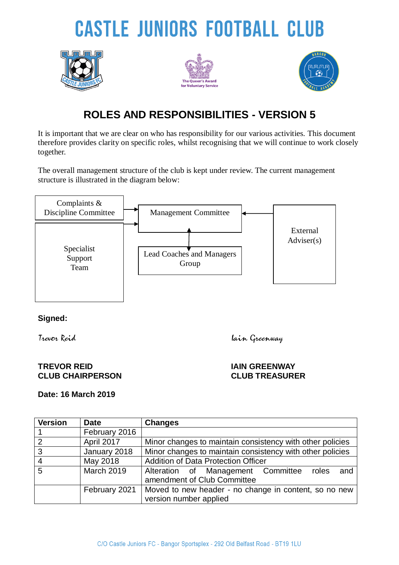# **CASTLE JUNIORS FOOTBALL CLUB**







## **ROLES AND RESPONSIBILITIES - VERSION 5**

It is important that we are clear on who has responsibility for our various activities. This document therefore provides clarity on specific roles, whilst recognising that we will continue to work closely together.

The overall management structure of the club is kept under review. The current management structure is illustrated in the diagram below:



#### **Signed:**

Trevor Reid Iain Greenway

#### **TREVOR REID IAIN GREENWAY CLUB CHAIRPERSON CLUB TREASURER**

### **Date: 16 March 2019**

| <b>Version</b> | <b>Date</b>       | <b>Changes</b>                                                                 |
|----------------|-------------------|--------------------------------------------------------------------------------|
|                | February 2016     |                                                                                |
| $\overline{2}$ | April 2017        | Minor changes to maintain consistency with other policies                      |
| $\mathbf{3}$   | January 2018      | Minor changes to maintain consistency with other policies                      |
| $\overline{4}$ | May 2018          | <b>Addition of Data Protection Officer</b>                                     |
| 5              | <b>March 2019</b> | Alteration of Management Committee roles<br>and<br>amendment of Club Committee |
|                | February 2021     | Moved to new header - no change in content, so no new                          |
|                |                   | version number applied                                                         |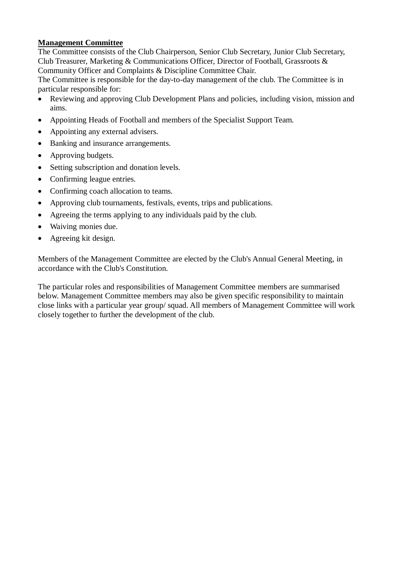#### **Management Committee**

The Committee consists of the Club Chairperson, Senior Club Secretary, Junior Club Secretary, Club Treasurer, Marketing & Communications Officer, Director of Football, Grassroots & Community Officer and Complaints & Discipline Committee Chair.

The Committee is responsible for the day-to-day management of the club. The Committee is in particular responsible for:

- Reviewing and approving Club Development Plans and policies, including vision, mission and aims.
- Appointing Heads of Football and members of the Specialist Support Team.
- Appointing any external advisers.
- Banking and insurance arrangements.
- Approving budgets.
- Setting subscription and donation levels.
- Confirming league entries.
- Confirming coach allocation to teams.
- Approving club tournaments, festivals, events, trips and publications.
- Agreeing the terms applying to any individuals paid by the club.
- Waiving monies due.
- Agreeing kit design.

Members of the Management Committee are elected by the Club's Annual General Meeting, in accordance with the Club's Constitution.

The particular roles and responsibilities of Management Committee members are summarised below. Management Committee members may also be given specific responsibility to maintain close links with a particular year group/ squad. All members of Management Committee will work closely together to further the development of the club.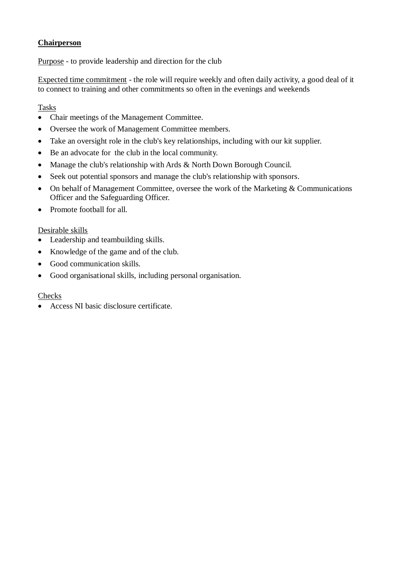#### **Chairperson**

Purpose - to provide leadership and direction for the club

Expected time commitment - the role will require weekly and often daily activity, a good deal of it to connect to training and other commitments so often in the evenings and weekends

#### Tasks

- Chair meetings of the Management Committee.
- Oversee the work of Management Committee members.
- Take an oversight role in the club's key relationships, including with our kit supplier.
- Be an advocate for the club in the local community.
- Manage the club's relationship with Ards & North Down Borough Council.
- Seek out potential sponsors and manage the club's relationship with sponsors.
- On behalf of Management Committee, oversee the work of the Marketing & Communications Officer and the Safeguarding Officer.
- Promote football for all.

#### Desirable skills

- Leadership and teambuilding skills.
- Knowledge of the game and of the club.
- Good communication skills.
- Good organisational skills, including personal organisation.

#### Checks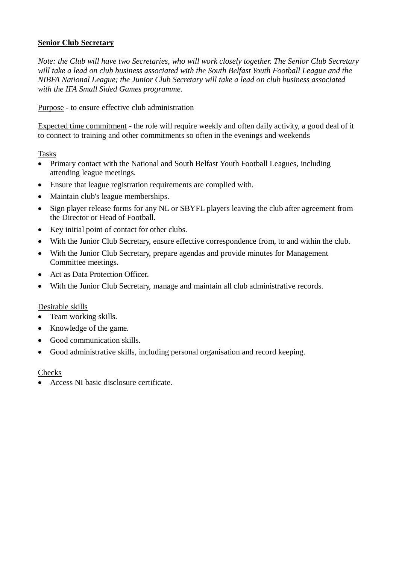#### **Senior Club Secretary**

*Note: the Club will have two Secretaries, who will work closely together. The Senior Club Secretary will take a lead on club business associated with the South Belfast Youth Football League and the NIBFA National League; the Junior Club Secretary will take a lead on club business associated with the IFA Small Sided Games programme.*

Purpose - to ensure effective club administration

Expected time commitment - the role will require weekly and often daily activity, a good deal of it to connect to training and other commitments so often in the evenings and weekends

Tasks

- Primary contact with the National and South Belfast Youth Football Leagues, including attending league meetings.
- Ensure that league registration requirements are complied with.
- Maintain club's league memberships.
- Sign player release forms for any NL or SBYFL players leaving the club after agreement from the Director or Head of Football.
- Key initial point of contact for other clubs.
- With the Junior Club Secretary, ensure effective correspondence from, to and within the club.
- With the Junior Club Secretary, prepare agendas and provide minutes for Management Committee meetings.
- Act as Data Protection Officer.
- With the Junior Club Secretary, manage and maintain all club administrative records.

#### Desirable skills

- Team working skills.
- Knowledge of the game.
- Good communication skills.
- Good administrative skills, including personal organisation and record keeping.

#### **Checks**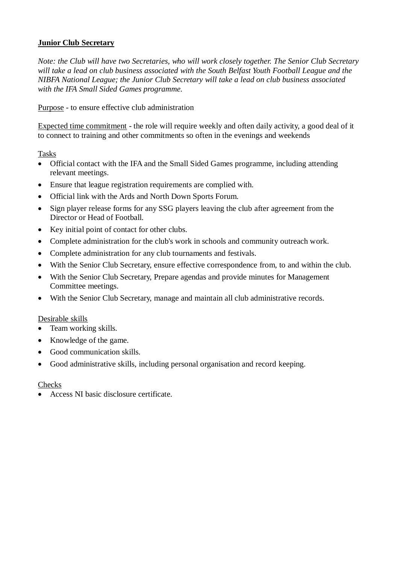#### **Junior Club Secretary**

*Note: the Club will have two Secretaries, who will work closely together. The Senior Club Secretary will take a lead on club business associated with the South Belfast Youth Football League and the NIBFA National League; the Junior Club Secretary will take a lead on club business associated with the IFA Small Sided Games programme.*

Purpose - to ensure effective club administration

Expected time commitment - the role will require weekly and often daily activity, a good deal of it to connect to training and other commitments so often in the evenings and weekends

Tasks

- Official contact with the IFA and the Small Sided Games programme, including attending relevant meetings.
- Ensure that league registration requirements are complied with.
- Official link with the Ards and North Down Sports Forum.
- Sign player release forms for any SSG players leaving the club after agreement from the Director or Head of Football.
- Key initial point of contact for other clubs.
- Complete administration for the club's work in schools and community outreach work.
- Complete administration for any club tournaments and festivals.
- With the Senior Club Secretary, ensure effective correspondence from, to and within the club.
- With the Senior Club Secretary, Prepare agendas and provide minutes for Management Committee meetings.
- With the Senior Club Secretary, manage and maintain all club administrative records.

#### Desirable skills

- Team working skills.
- Knowledge of the game.
- Good communication skills.
- Good administrative skills, including personal organisation and record keeping.

#### Checks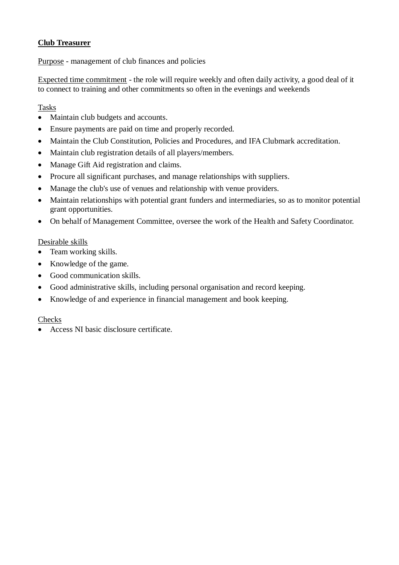#### **Club Treasurer**

Purpose - management of club finances and policies

Expected time commitment - the role will require weekly and often daily activity, a good deal of it to connect to training and other commitments so often in the evenings and weekends

#### Tasks

- Maintain club budgets and accounts.
- Ensure payments are paid on time and properly recorded.
- Maintain the Club Constitution, Policies and Procedures, and IFA Clubmark accreditation.
- Maintain club registration details of all players/members.
- Manage Gift Aid registration and claims.
- Procure all significant purchases, and manage relationships with suppliers.
- Manage the club's use of venues and relationship with venue providers.
- Maintain relationships with potential grant funders and intermediaries, so as to monitor potential grant opportunities.
- On behalf of Management Committee, oversee the work of the Health and Safety Coordinator.

#### Desirable skills

- Team working skills.
- Knowledge of the game.
- Good communication skills.
- Good administrative skills, including personal organisation and record keeping.
- Knowledge of and experience in financial management and book keeping.

#### Checks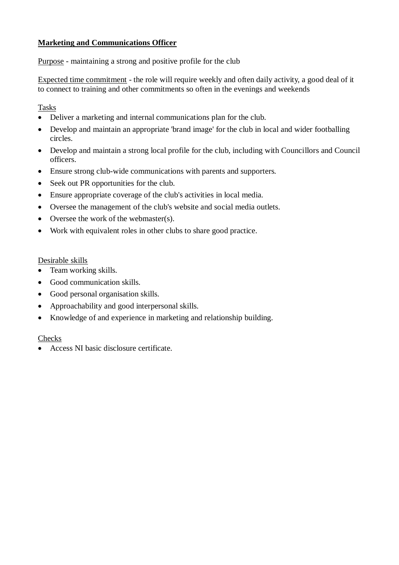#### **Marketing and Communications Officer**

Purpose - maintaining a strong and positive profile for the club

Expected time commitment - the role will require weekly and often daily activity, a good deal of it to connect to training and other commitments so often in the evenings and weekends

Tasks

- Deliver a marketing and internal communications plan for the club.
- Develop and maintain an appropriate 'brand image' for the club in local and wider footballing circles.
- Develop and maintain a strong local profile for the club, including with Councillors and Council officers.
- Ensure strong club-wide communications with parents and supporters.
- Seek out PR opportunities for the club.
- Ensure appropriate coverage of the club's activities in local media.
- Oversee the management of the club's website and social media outlets.
- Oversee the work of the webmaster(s).
- Work with equivalent roles in other clubs to share good practice.

#### Desirable skills

- Team working skills.
- Good communication skills.
- Good personal organisation skills.
- Approachability and good interpersonal skills.
- Knowledge of and experience in marketing and relationship building.

#### Checks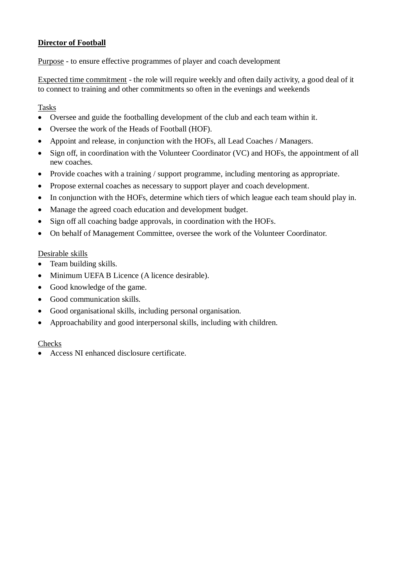#### **Director of Football**

Purpose - to ensure effective programmes of player and coach development

Expected time commitment - the role will require weekly and often daily activity, a good deal of it to connect to training and other commitments so often in the evenings and weekends

#### Tasks

- Oversee and guide the footballing development of the club and each team within it.
- Oversee the work of the Heads of Football (HOF).
- Appoint and release, in conjunction with the HOFs, all Lead Coaches / Managers.
- Sign off, in coordination with the Volunteer Coordinator (VC) and HOFs, the appointment of all new coaches.
- Provide coaches with a training / support programme, including mentoring as appropriate.
- Propose external coaches as necessary to support player and coach development.
- In conjunction with the HOFs, determine which tiers of which league each team should play in.
- Manage the agreed coach education and development budget.
- Sign off all coaching badge approvals, in coordination with the HOFs.
- On behalf of Management Committee, oversee the work of the Volunteer Coordinator.

#### Desirable skills

- Team building skills.
- Minimum UEFA B Licence (A licence desirable).
- Good knowledge of the game.
- Good communication skills.
- Good organisational skills, including personal organisation.
- Approachability and good interpersonal skills, including with children.

#### Checks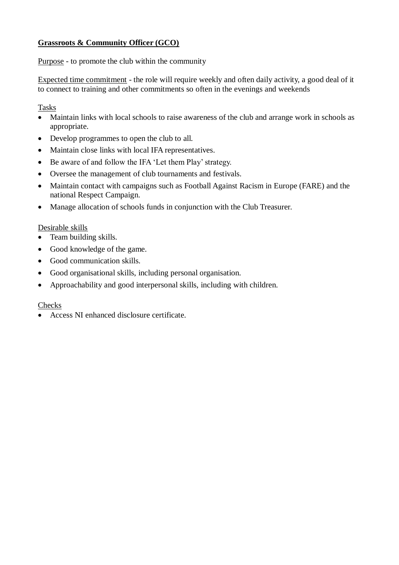#### **Grassroots & Community Officer (GCO)**

Purpose - to promote the club within the community

Expected time commitment - the role will require weekly and often daily activity, a good deal of it to connect to training and other commitments so often in the evenings and weekends

Tasks

- Maintain links with local schools to raise awareness of the club and arrange work in schools as appropriate.
- Develop programmes to open the club to all.
- Maintain close links with local IFA representatives.
- Be aware of and follow the IFA 'Let them Play' strategy.
- Oversee the management of club tournaments and festivals.
- Maintain contact with campaigns such as Football Against Racism in Europe (FARE) and the national Respect Campaign.
- Manage allocation of schools funds in conjunction with the Club Treasurer.

#### Desirable skills

- Team building skills.
- Good knowledge of the game.
- Good communication skills.
- Good organisational skills, including personal organisation.
- Approachability and good interpersonal skills, including with children.

#### Checks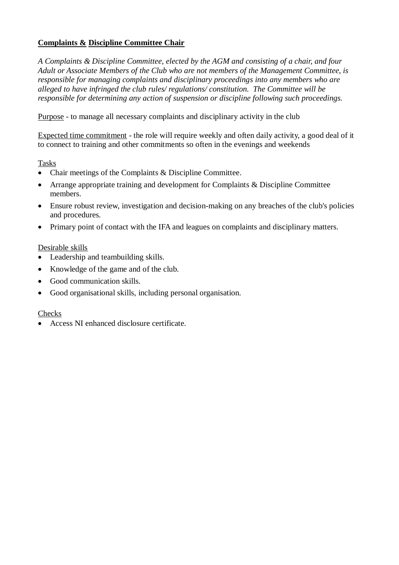#### **Complaints & Discipline Committee Chair**

*A Complaints & Discipline Committee, elected by the AGM and consisting of a chair, and four Adult or Associate Members of the Club who are not members of the Management Committee, is responsible for managing complaints and disciplinary proceedings into any members who are alleged to have infringed the club rules/ regulations/ constitution. The Committee will be responsible for determining any action of suspension or discipline following such proceedings.* 

Purpose - to manage all necessary complaints and disciplinary activity in the club

Expected time commitment - the role will require weekly and often daily activity, a good deal of it to connect to training and other commitments so often in the evenings and weekends

Tasks

- Chair meetings of the Complaints & Discipline Committee.
- Arrange appropriate training and development for Complaints & Discipline Committee members.
- Ensure robust review, investigation and decision-making on any breaches of the club's policies and procedures.
- Primary point of contact with the IFA and leagues on complaints and disciplinary matters.

#### Desirable skills

- Leadership and teambuilding skills.
- Knowledge of the game and of the club.
- Good communication skills.
- Good organisational skills, including personal organisation.

#### Checks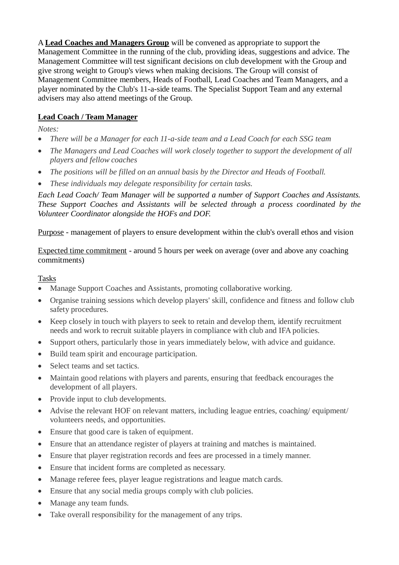A **Lead Coaches and Managers Group** will be convened as appropriate to support the Management Committee in the running of the club, providing ideas, suggestions and advice. The Management Committee will test significant decisions on club development with the Group and give strong weight to Group's views when making decisions. The Group will consist of Management Committee members, Heads of Football, Lead Coaches and Team Managers, and a player nominated by the Club's 11-a-side teams. The Specialist Support Team and any external advisers may also attend meetings of the Group.

#### **Lead Coach / Team Manager**

*Notes:*

- *There will be a Manager for each 11-a-side team and a Lead Coach for each SSG team*
- *The Managers and Lead Coaches will work closely together to support the development of all players and fellow coaches*
- *The positions will be filled on an annual basis by the Director and Heads of Football.*
- *These individuals may delegate responsibility for certain tasks.*

*Each Lead Coach/ Team Manager will be supported a number of Support Coaches and Assistants. These Support Coaches and Assistants will be selected through a process coordinated by the Volunteer Coordinator alongside the HOFs and DOF.*

Purpose - management of players to ensure development within the club's overall ethos and vision

Expected time commitment - around 5 hours per week on average (over and above any coaching commitments)

#### Tasks

- Manage Support Coaches and Assistants, promoting collaborative working.
- Organise training sessions which develop players' skill, confidence and fitness and follow club safety procedures.
- Keep closely in touch with players to seek to retain and develop them, identify recruitment needs and work to recruit suitable players in compliance with club and IFA policies.
- Support others, particularly those in years immediately below, with advice and guidance.
- Build team spirit and encourage participation.
- Select teams and set tactics.
- Maintain good relations with players and parents, ensuring that feedback encourages the development of all players.
- Provide input to club developments.
- Advise the relevant HOF on relevant matters, including league entries, coaching/ equipment/ volunteers needs, and opportunities.
- Ensure that good care is taken of equipment.
- Ensure that an attendance register of players at training and matches is maintained.
- Ensure that player registration records and fees are processed in a timely manner.
- Ensure that incident forms are completed as necessary.
- Manage referee fees, player league registrations and league match cards.
- Ensure that any social media groups comply with club policies.
- Manage any team funds.
- Take overall responsibility for the management of any trips.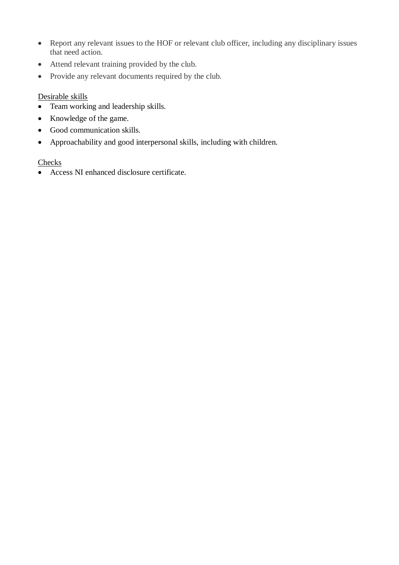- Report any relevant issues to the HOF or relevant club officer, including any disciplinary issues that need action.
- Attend relevant training provided by the club.
- Provide any relevant documents required by the club.

#### Desirable skills

- Team working and leadership skills.
- Knowledge of the game.
- Good communication skills.
- Approachability and good interpersonal skills, including with children.

#### **Checks**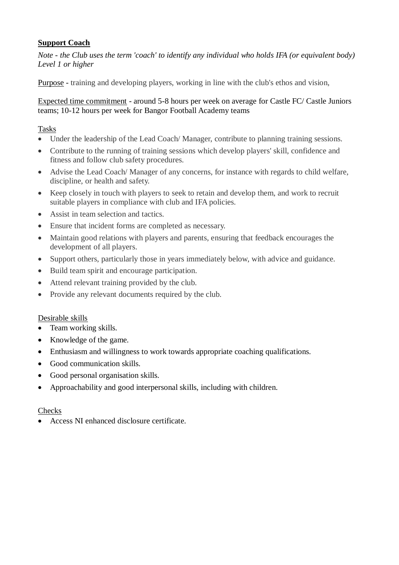#### **Support Coach**

*Note - the Club uses the term 'coach' to identify any individual who holds IFA (or equivalent body) Level 1 or higher*

Purpose - training and developing players, working in line with the club's ethos and vision,

#### Expected time commitment - around 5-8 hours per week on average for Castle FC/ Castle Juniors teams; 10-12 hours per week for Bangor Football Academy teams

Tasks

- Under the leadership of the Lead Coach/ Manager, contribute to planning training sessions.
- Contribute to the running of training sessions which develop players' skill, confidence and fitness and follow club safety procedures.
- Advise the Lead Coach/ Manager of any concerns, for instance with regards to child welfare, discipline, or health and safety.
- Keep closely in touch with players to seek to retain and develop them, and work to recruit suitable players in compliance with club and IFA policies.
- Assist in team selection and tactics.
- Ensure that incident forms are completed as necessary.
- Maintain good relations with players and parents, ensuring that feedback encourages the development of all players.
- Support others, particularly those in years immediately below, with advice and guidance.
- Build team spirit and encourage participation.
- Attend relevant training provided by the club.
- Provide any relevant documents required by the club.

#### Desirable skills

- Team working skills.
- Knowledge of the game.
- Enthusiasm and willingness to work towards appropriate coaching qualifications.
- Good communication skills.
- Good personal organisation skills.
- Approachability and good interpersonal skills, including with children.

#### Checks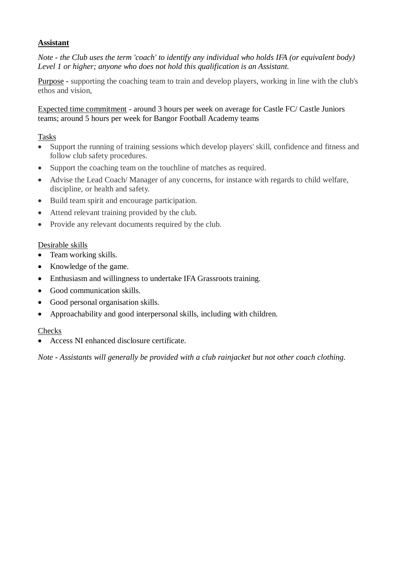#### **Assistant**

*Note - the Club uses the term 'coach' to identify any individual who holds IFA (or equivalent body) Level 1 or higher; anyone who does not hold this qualification is an Assistant.* 

Purpose - supporting the coaching team to train and develop players, working in line with the club's ethos and vision,

#### Expected time commitment - around 3 hours per week on average for Castle FC/ Castle Juniors teams; around 5 hours per week for Bangor Football Academy teams

#### Tasks

- Support the running of training sessions which develop players' skill, confidence and fitness and follow club safety procedures.
- Support the coaching team on the touchline of matches as required.
- Advise the Lead Coach/ Manager of any concerns, for instance with regards to child welfare, discipline, or health and safety.
- Build team spirit and encourage participation.
- Attend relevant training provided by the club.
- Provide any relevant documents required by the club.

#### Desirable skills

- Team working skills.
- Knowledge of the game.
- Enthusiasm and willingness to undertake IFA Grassroots training.
- Good communication skills.
- Good personal organisation skills.
- Approachability and good interpersonal skills, including with children.

#### Checks

Access NI enhanced disclosure certificate.

*Note - Assistants will generally be provided with a club rainjacket but not other coach clothing.*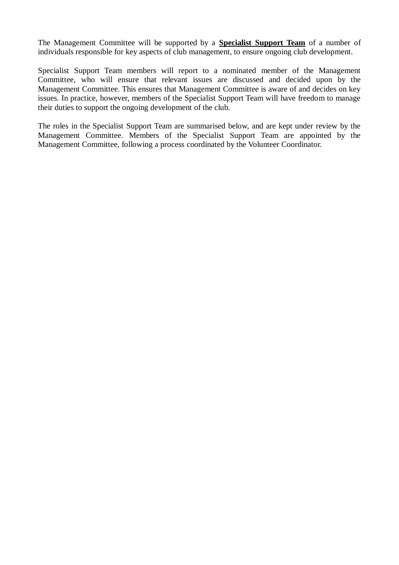The Management Committee will be supported by a **Specialist Support Team** of a number of individuals responsible for key aspects of club management, to ensure ongoing club development.

Specialist Support Team members will report to a nominated member of the Management Committee, who will ensure that relevant issues are discussed and decided upon by the Management Committee. This ensures that Management Committee is aware of and decides on key issues. In practice, however, members of the Specialist Support Team will have freedom to manage their duties to support the ongoing development of the club.

The roles in the Specialist Support Team are summarised below, and are kept under review by the Management Committee. Members of the Specialist Support Team are appointed by the Management Committee, following a process coordinated by the Volunteer Coordinator.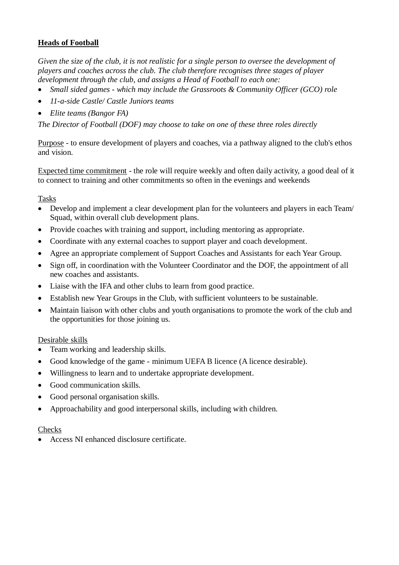#### **Heads of Football**

*Given the size of the club, it is not realistic for a single person to oversee the development of players and coaches across the club. The club therefore recognises three stages of player development through the club, and assigns a Head of Football to each one:*

- *Small sided games - which may include the Grassroots & Community Officer (GCO) role*
- *11-a-side Castle/ Castle Juniors teams*
- *Elite teams (Bangor FA)*

*The Director of Football (DOF) may choose to take on one of these three roles directly*

Purpose - to ensure development of players and coaches, via a pathway aligned to the club's ethos and vision.

Expected time commitment - the role will require weekly and often daily activity, a good deal of it to connect to training and other commitments so often in the evenings and weekends

#### Tasks

- Develop and implement a clear development plan for the volunteers and players in each Team/ Squad, within overall club development plans.
- Provide coaches with training and support, including mentoring as appropriate.
- Coordinate with any external coaches to support player and coach development.
- Agree an appropriate complement of Support Coaches and Assistants for each Year Group.
- Sign off, in coordination with the Volunteer Coordinator and the DOF, the appointment of all new coaches and assistants.
- Liaise with the IFA and other clubs to learn from good practice.
- Establish new Year Groups in the Club, with sufficient volunteers to be sustainable.
- Maintain liaison with other clubs and youth organisations to promote the work of the club and the opportunities for those joining us.

#### Desirable skills

- Team working and leadership skills.
- Good knowledge of the game minimum UEFA B licence (A licence desirable).
- Willingness to learn and to undertake appropriate development.
- Good communication skills.
- Good personal organisation skills.
- Approachability and good interpersonal skills, including with children.

#### Checks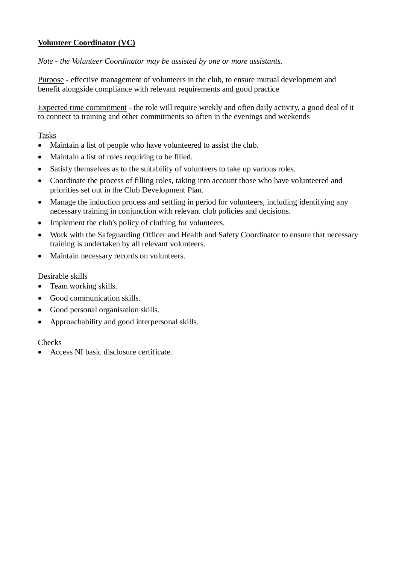#### **Volunteer Coordinator (VC)**

*Note - the Volunteer Coordinator may be assisted by one or more assistants.*

Purpose - effective management of volunteers in the club, to ensure mutual development and benefit alongside compliance with relevant requirements and good practice

Expected time commitment - the role will require weekly and often daily activity, a good deal of it to connect to training and other commitments so often in the evenings and weekends

#### Tasks

- Maintain a list of people who have volunteered to assist the club.
- Maintain a list of roles requiring to be filled.
- Satisfy themselves as to the suitability of volunteers to take up various roles.
- Coordinate the process of filling roles, taking into account those who have volunteered and priorities set out in the Club Development Plan.
- Manage the induction process and settling in period for volunteers, including identifying any necessary training in conjunction with relevant club policies and decisions.
- Implement the club's policy of clothing for volunteers.
- Work with the Safeguarding Officer and Health and Safety Coordinator to ensure that necessary training is undertaken by all relevant volunteers.
- Maintain necessary records on volunteers.

#### Desirable skills

- Team working skills.
- Good communication skills.
- Good personal organisation skills.
- Approachability and good interpersonal skills.

#### **Checks**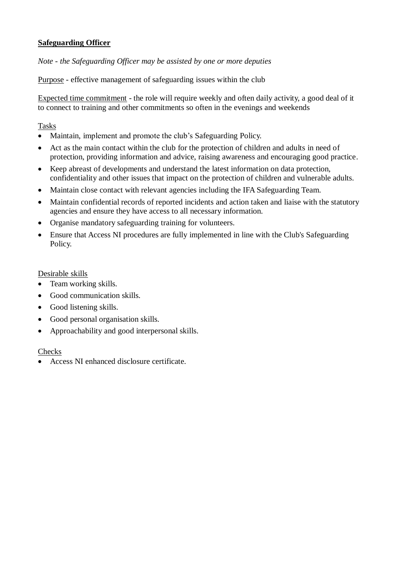#### **Safeguarding Officer**

*Note - the Safeguarding Officer may be assisted by one or more deputies*

Purpose - effective management of safeguarding issues within the club

Expected time commitment - the role will require weekly and often daily activity, a good deal of it to connect to training and other commitments so often in the evenings and weekends

Tasks

- Maintain, implement and promote the club's Safeguarding Policy.
- Act as the main contact within the club for the protection of children and adults in need of protection, providing information and advice, raising awareness and encouraging good practice.
- Keep abreast of developments and understand the latest information on data protection, confidentiality and other issues that impact on the protection of children and vulnerable adults.
- Maintain close contact with relevant agencies including the IFA Safeguarding Team.
- Maintain confidential records of reported incidents and action taken and liaise with the statutory agencies and ensure they have access to all necessary information.
- Organise mandatory safeguarding training for volunteers.
- Ensure that Access NI procedures are fully implemented in line with the Club's Safeguarding Policy.

Desirable skills

- Team working skills.
- Good communication skills.
- Good listening skills.
- Good personal organisation skills.
- Approachability and good interpersonal skills.

#### **Checks**